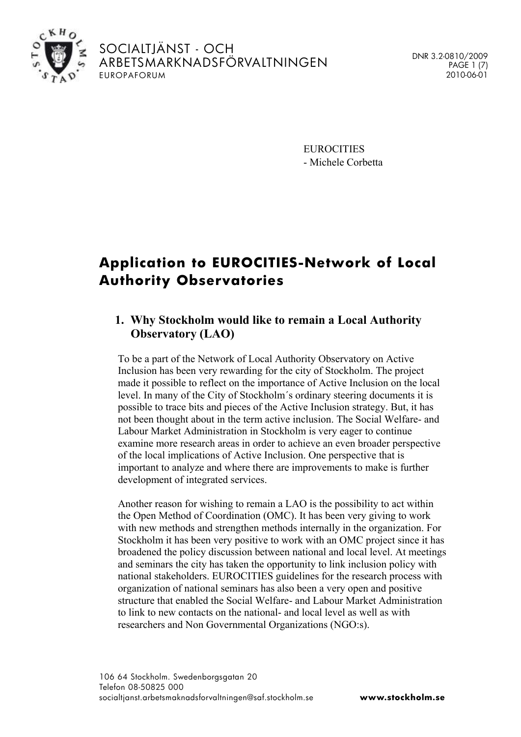

SOCIALTJÄNST - OCH ARBETSMARKNADSFÖRVALTNINGEN EUROPAFORUM

DNR 3.2-0810/2009 PAGE 1 (7) 2010-06-01

**EUROCITIES** - Michele Corbetta

# **Application to EUROCITIES-Network of Local Authority Observatories**

# **1. Why Stockholm would like to remain a Local Authority Observatory (LAO)**

To be a part of the Network of Local Authority Observatory on Active Inclusion has been very rewarding for the city of Stockholm. The project made it possible to reflect on the importance of Active Inclusion on the local level. In many of the City of Stockholm´s ordinary steering documents it is possible to trace bits and pieces of the Active Inclusion strategy. But, it has not been thought about in the term active inclusion. The Social Welfare- and Labour Market Administration in Stockholm is very eager to continue examine more research areas in order to achieve an even broader perspective of the local implications of Active Inclusion. One perspective that is important to analyze and where there are improvements to make is further development of integrated services.

Another reason for wishing to remain a LAO is the possibility to act within the Open Method of Coordination (OMC). It has been very giving to work with new methods and strengthen methods internally in the organization. For Stockholm it has been very positive to work with an OMC project since it has broadened the policy discussion between national and local level. At meetings and seminars the city has taken the opportunity to link inclusion policy with national stakeholders. EUROCITIES guidelines for the research process with organization of national seminars has also been a very open and positive structure that enabled the Social Welfare- and Labour Market Administration to link to new contacts on the national- and local level as well as with researchers and Non Governmental Organizations (NGO:s).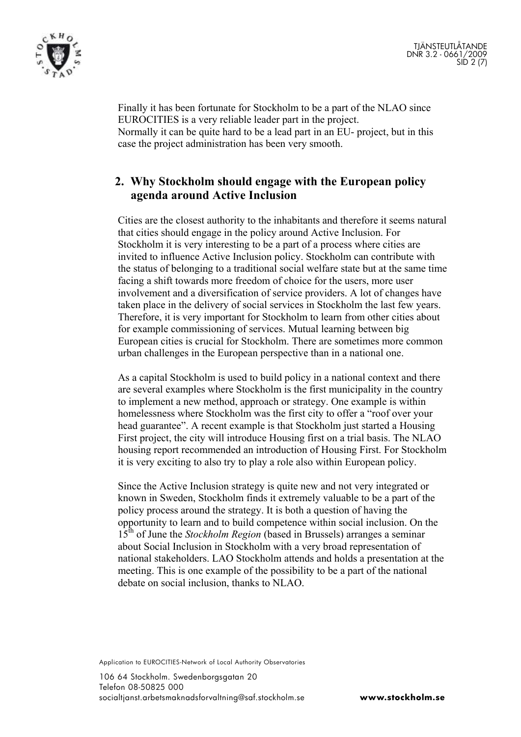



Finally it has been fortunate for Stockholm to be a part of the NLAO since EUROCITIES is a very reliable leader part in the project. Normally it can be quite hard to be a lead part in an EU- project, but in this case the project administration has been very smooth.

#### **2. Why Stockholm should engage with the European policy agenda around Active Inclusion**

Cities are the closest authority to the inhabitants and therefore it seems natural that cities should engage in the policy around Active Inclusion. For Stockholm it is very interesting to be a part of a process where cities are invited to influence Active Inclusion policy. Stockholm can contribute with the status of belonging to a traditional social welfare state but at the same time facing a shift towards more freedom of choice for the users, more user involvement and a diversification of service providers. A lot of changes have taken place in the delivery of social services in Stockholm the last few years. Therefore, it is very important for Stockholm to learn from other cities about for example commissioning of services. Mutual learning between big European cities is crucial for Stockholm. There are sometimes more common urban challenges in the European perspective than in a national one.

As a capital Stockholm is used to build policy in a national context and there are several examples where Stockholm is the first municipality in the country to implement a new method, approach or strategy. One example is within homelessness where Stockholm was the first city to offer a "roof over your head guarantee". A recent example is that Stockholm just started a Housing First project, the city will introduce Housing first on a trial basis. The NLAO housing report recommended an introduction of Housing First. For Stockholm it is very exciting to also try to play a role also within European policy.

Since the Active Inclusion strategy is quite new and not very integrated or known in Sweden, Stockholm finds it extremely valuable to be a part of the policy process around the strategy. It is both a question of having the opportunity to learn and to build competence within social inclusion. On the 15th of June the *Stockholm Region* (based in Brussels) arranges a seminar about Social Inclusion in Stockholm with a very broad representation of national stakeholders. LAO Stockholm attends and holds a presentation at the meeting. This is one example of the possibility to be a part of the national debate on social inclusion, thanks to NLAO.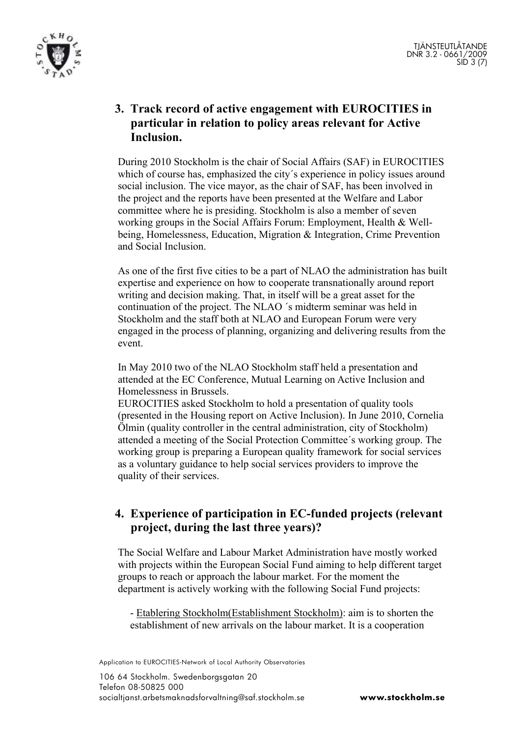

# **3. Track record of active engagement with EUROCITIES in particular in relation to policy areas relevant for Active Inclusion.**

During 2010 Stockholm is the chair of Social Affairs (SAF) in EUROCITIES which of course has, emphasized the city's experience in policy issues around social inclusion. The vice mayor, as the chair of SAF, has been involved in the project and the reports have been presented at the Welfare and Labor committee where he is presiding. Stockholm is also a member of seven working groups in the Social Affairs Forum: Employment, Health & Wellbeing, Homelessness, Education, Migration & Integration, Crime Prevention and Social Inclusion.

As one of the first five cities to be a part of NLAO the administration has built expertise and experience on how to cooperate transnationally around report writing and decision making. That, in itself will be a great asset for the continuation of the project. The NLAO ´s midterm seminar was held in Stockholm and the staff both at NLAO and European Forum were very engaged in the process of planning, organizing and delivering results from the event.

In May 2010 two of the NLAO Stockholm staff held a presentation and attended at the EC Conference, Mutual Learning on Active Inclusion and Homelessness in Brussels.

EUROCITIES asked Stockholm to hold a presentation of quality tools (presented in the Housing report on Active Inclusion). In June 2010, Cornelia Ölmin (quality controller in the central administration, city of Stockholm) attended a meeting of the Social Protection Committee´s working group. The working group is preparing a European quality framework for social services as a voluntary guidance to help social services providers to improve the quality of their services.

### **4. Experience of participation in EC-funded projects (relevant project, during the last three years)?**

The Social Welfare and Labour Market Administration have mostly worked with projects within the European Social Fund aiming to help different target groups to reach or approach the labour market. For the moment the department is actively working with the following Social Fund projects:

- Etablering Stockholm(Establishment Stockholm): aim is to shorten the establishment of new arrivals on the labour market. It is a cooperation

Application to EUROCITIES-Network of Local Authority Observatories

106 64 Stockholm. Swedenborgsgatan 20 Telefon 08-50825 000 socialtjanst.arbetsmaknadsforvaltning@saf.stockholm.se **www.stockholm.se**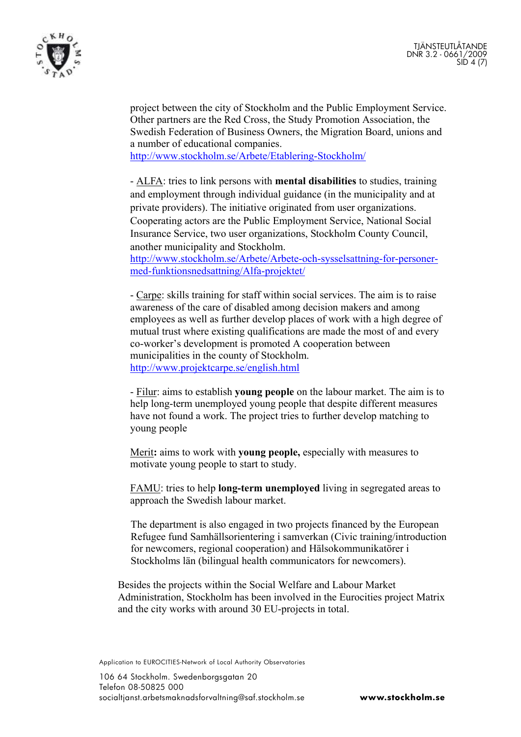

project between the city of Stockholm and the Public Employment Service. Other partners are the Red Cross, the Study Promotion Association, the Swedish Federation of Business Owners, the Migration Board, unions and a number of educational companies.

<http://www.stockholm.se/Arbete/Etablering-Stockholm/>

- ALFA: tries to link persons with **mental disabilities** to studies, training and employment through individual guidance (in the municipality and at private providers). The initiative originated from user organizations. Cooperating actors are the Public Employment Service, National Social Insurance Service, two user organizations, Stockholm County Council, another municipality and Stockholm.

[http://www.stockholm.se/Arbete/Arbete-och-sysselsattning-for-personer](http://www.stockholm.se/Arbete/Arbete-och-sysselsattning-for-personer-med-funktionsnedsattning/Alfa-projektet/)[med-funktionsnedsattning/Alfa-projektet/](http://www.stockholm.se/Arbete/Arbete-och-sysselsattning-for-personer-med-funktionsnedsattning/Alfa-projektet/)

- Carpe: skills training for staff within social services. The aim is to raise awareness of the care of disabled among decision makers and among employees as well as further develop places of work with a high degree of mutual trust where existing qualifications are made the most of and every co-worker's development is promoted A cooperation between municipalities in the county of Stockholm. <http://www.projektcarpe.se/english.html>

- Filur: aims to establish **young people** on the labour market. The aim is to help long-term unemployed young people that despite different measures have not found a work. The project tries to further develop matching to young people

Merit**:** aims to work with **young people,** especially with measures to motivate young people to start to study.

FAMU: tries to help **long-term unemployed** living in segregated areas to approach the Swedish labour market.

The department is also engaged in two projects financed by the European Refugee fund Samhällsorientering i samverkan (Civic training/introduction for newcomers, regional cooperation) and Hälsokommunikatörer i Stockholms län (bilingual health communicators for newcomers).

Besides the projects within the Social Welfare and Labour Market Administration, Stockholm has been involved in the Eurocities project Matrix and the city works with around 30 EU-projects in total.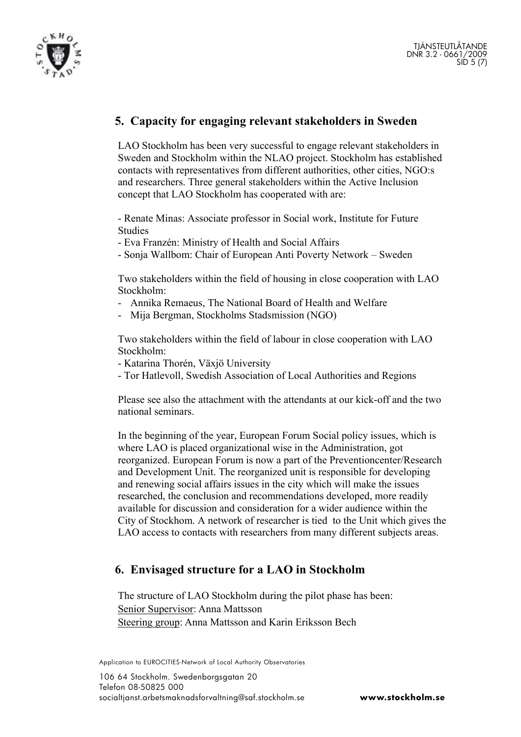

# **5. Capacity for engaging relevant stakeholders in Sweden**

LAO Stockholm has been very successful to engage relevant stakeholders in Sweden and Stockholm within the NLAO project. Stockholm has established contacts with representatives from different authorities, other cities, NGO:s and researchers. Three general stakeholders within the Active Inclusion concept that LAO Stockholm has cooperated with are:

- Renate Minas: Associate professor in Social work, Institute for Future Studies

- Eva Franzén: Ministry of Health and Social Affairs
- Sonja Wallbom: Chair of European Anti Poverty Network Sweden

Two stakeholders within the field of housing in close cooperation with LAO Stockholm:

- Annika Remaeus, The National Board of Health and Welfare
- Mija Bergman, Stockholms Stadsmission (NGO)

Two stakeholders within the field of labour in close cooperation with LAO Stockholm:

- Katarina Thorén, Växjö University
- Tor Hatlevoll, Swedish Association of Local Authorities and Regions

Please see also the attachment with the attendants at our kick-off and the two national seminars.

In the beginning of the year, European Forum Social policy issues, which is where LAO is placed organizational wise in the Administration, got reorganized. European Forum is now a part of the Preventioncenter/Research and Development Unit. The reorganized unit is responsible for developing and renewing social affairs issues in the city which will make the issues researched, the conclusion and recommendations developed, more readily available for discussion and consideration for a wider audience within the City of Stockhom. A network of researcher is tied to the Unit which gives the LAO access to contacts with researchers from many different subjects areas.

#### **6. Envisaged structure for a LAO in Stockholm**

The structure of LAO Stockholm during the pilot phase has been: Senior Supervisor: Anna Mattsson Steering group: Anna Mattsson and Karin Eriksson Bech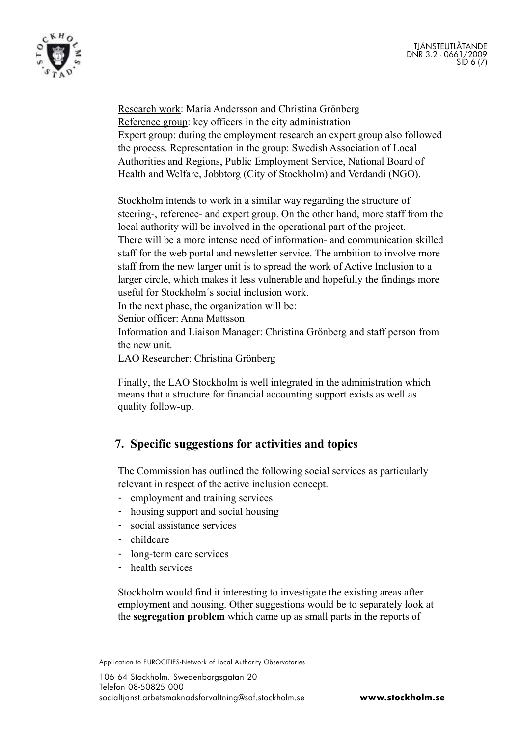



Research work: Maria Andersson and Christina Grönberg Reference group: key officers in the city administration Expert group: during the employment research an expert group also followed the process. Representation in the group: Swedish Association of Local Authorities and Regions, Public Employment Service, National Board of Health and Welfare, Jobbtorg (City of Stockholm) and Verdandi (NGO).

Stockholm intends to work in a similar way regarding the structure of steering-, reference- and expert group. On the other hand, more staff from the local authority will be involved in the operational part of the project. There will be a more intense need of information- and communication skilled staff for the web portal and newsletter service. The ambition to involve more staff from the new larger unit is to spread the work of Active Inclusion to a larger circle, which makes it less vulnerable and hopefully the findings more useful for Stockholm´s social inclusion work.

In the next phase, the organization will be:

Senior officer: Anna Mattsson

Information and Liaison Manager: Christina Grönberg and staff person from the new unit.

LAO Researcher: Christina Grönberg

Finally, the LAO Stockholm is well integrated in the administration which means that a structure for financial accounting support exists as well as quality follow-up.

#### **7. Specific suggestions for activities and topics**

The Commission has outlined the following social services as particularly relevant in respect of the active inclusion concept.

- employment and training services
- housing support and social housing
- social assistance services
- childcare
- long-term care services
- health services

Stockholm would find it interesting to investigate the existing areas after employment and housing. Other suggestions would be to separately look at the **segregation problem** which came up as small parts in the reports of